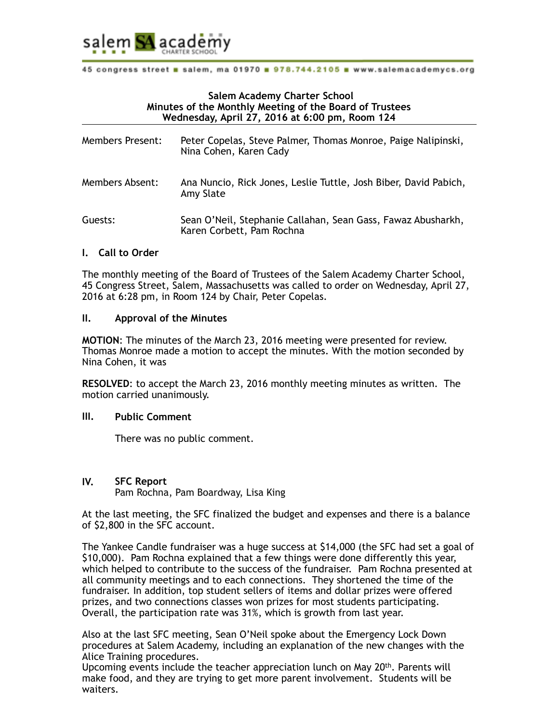

# **Salem Academy Charter School Minutes of the Monthly Meeting of the Board of Trustees Wednesday, April 27, 2016 at 6:00 pm, Room 124**

| <b>Members Present:</b> | Peter Copelas, Steve Palmer, Thomas Monroe, Paige Nalipinski,<br>Nina Cohen, Karen Cady   |
|-------------------------|-------------------------------------------------------------------------------------------|
| Members Absent:         | Ana Nuncio, Rick Jones, Leslie Tuttle, Josh Biber, David Pabich,<br>Amy Slate             |
| Guests:                 | Sean O'Neil, Stephanie Callahan, Sean Gass, Fawaz Abusharkh,<br>Karen Corbett, Pam Rochna |

# **I. Call to Order**

The monthly meeting of the Board of Trustees of the Salem Academy Charter School, 45 Congress Street, Salem, Massachusetts was called to order on Wednesday, April 27, 2016 at 6:28 pm, in Room 124 by Chair, Peter Copelas.

#### **II. Approval of the Minutes**

**MOTION**: The minutes of the March 23, 2016 meeting were presented for review. Thomas Monroe made a motion to accept the minutes. With the motion seconded by Nina Cohen, it was

**RESOLVED**: to accept the March 23, 2016 monthly meeting minutes as written. The motion carried unanimously.

#### **III. Public Comment**

There was no public comment.

# **IV. SFC Report**

Pam Rochna, Pam Boardway, Lisa King

At the last meeting, the SFC finalized the budget and expenses and there is a balance of \$2,800 in the SFC account.

The Yankee Candle fundraiser was a huge success at \$14,000 (the SFC had set a goal of \$10,000). Pam Rochna explained that a few things were done differently this year, which helped to contribute to the success of the fundraiser. Pam Rochna presented at all community meetings and to each connections. They shortened the time of the fundraiser. In addition, top student sellers of items and dollar prizes were offered prizes, and two connections classes won prizes for most students participating. Overall, the participation rate was 31%, which is growth from last year.

Also at the last SFC meeting, Sean O'Neil spoke about the Emergency Lock Down procedures at Salem Academy, including an explanation of the new changes with the Alice Training procedures.

Upcoming events include the teacher appreciation lunch on May  $20<sup>th</sup>$ . Parents will make food, and they are trying to get more parent involvement. Students will be waiters.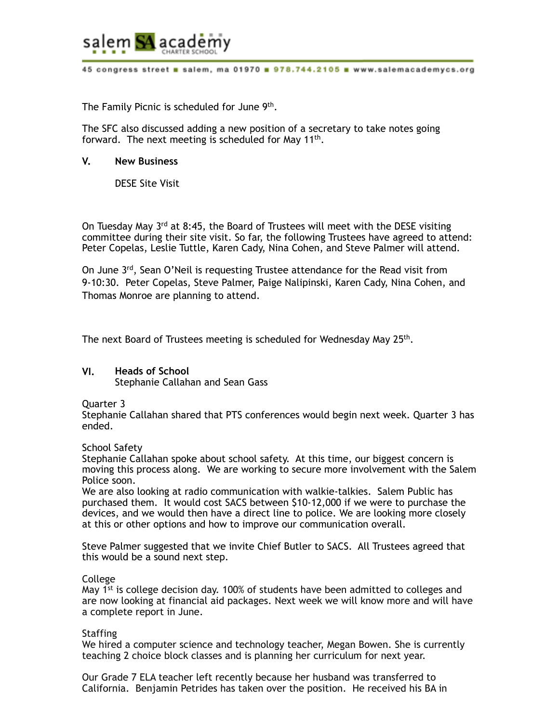

The Family Picnic is scheduled for June 9<sup>th</sup>.

The SFC also discussed adding a new position of a secretary to take notes going forward. The next meeting is scheduled for May  $11<sup>th</sup>$ .

# **V. New Business**

DESE Site Visit

On Tuesday May 3rd at 8:45, the Board of Trustees will meet with the DESE visiting committee during their site visit. So far, the following Trustees have agreed to attend: Peter Copelas, Leslie Tuttle, Karen Cady, Nina Cohen, and Steve Palmer will attend.

On June 3rd, Sean O'Neil is requesting Trustee attendance for the Read visit from 9-10:30. Peter Copelas, Steve Palmer, Paige Nalipinski, Karen Cady, Nina Cohen, and Thomas Monroe are planning to attend.

The next Board of Trustees meeting is scheduled for Wednesday May 25th.

# **VI. Heads of School**

Stephanie Callahan and Sean Gass

Quarter 3

Stephanie Callahan shared that PTS conferences would begin next week. Quarter 3 has ended.

School Safety

Stephanie Callahan spoke about school safety. At this time, our biggest concern is moving this process along. We are working to secure more involvement with the Salem Police soon.

We are also looking at radio communication with walkie-talkies. Salem Public has purchased them. It would cost SACS between \$10-12,000 if we were to purchase the devices, and we would then have a direct line to police. We are looking more closely at this or other options and how to improve our communication overall.

Steve Palmer suggested that we invite Chief Butler to SACS. All Trustees agreed that this would be a sound next step.

# College

May  $1^{st}$  is college decision day. 100% of students have been admitted to colleges and are now looking at financial aid packages. Next week we will know more and will have a complete report in June.

# Staffing

We hired a computer science and technology teacher, Megan Bowen. She is currently teaching 2 choice block classes and is planning her curriculum for next year.

Our Grade 7 ELA teacher left recently because her husband was transferred to California. Benjamin Petrides has taken over the position. He received his BA in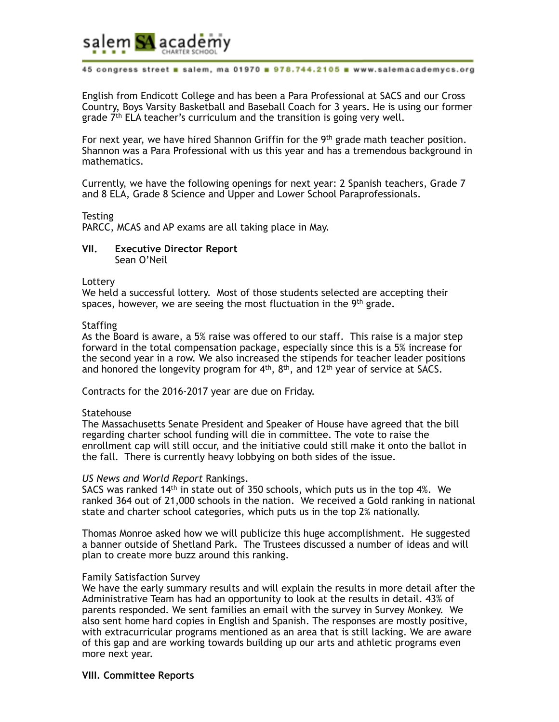

English from Endicott College and has been a Para Professional at SACS and our Cross Country, Boys Varsity Basketball and Baseball Coach for 3 years. He is using our former grade 7<sup>th</sup> ELA teacher's curriculum and the transition is going very well.

For next year, we have hired Shannon Griffin for the  $9<sup>th</sup>$  grade math teacher position. Shannon was a Para Professional with us this year and has a tremendous background in mathematics.

Currently, we have the following openings for next year: 2 Spanish teachers, Grade 7 and 8 ELA, Grade 8 Science and Upper and Lower School Paraprofessionals.

**Testing** PARCC, MCAS and AP exams are all taking place in May.

**VII. Executive Director Report**  Sean O'Neil

Lottery

We held a successful lottery. Most of those students selected are accepting their spaces, however, we are seeing the most fluctuation in the 9<sup>th</sup> grade.

#### **Staffing**

As the Board is aware, a 5% raise was offered to our staff. This raise is a major step forward in the total compensation package, especially since this is a 5% increase for the second year in a row. We also increased the stipends for teacher leader positions and honored the longevity program for  $4<sup>th</sup>$ ,  $8<sup>th</sup>$ , and  $12<sup>th</sup>$  year of service at SACS.

Contracts for the 2016-2017 year are due on Friday.

# **Statehouse**

The Massachusetts Senate President and Speaker of House have agreed that the bill regarding charter school funding will die in committee. The vote to raise the enrollment cap will still occur, and the initiative could still make it onto the ballot in the fall. There is currently heavy lobbying on both sides of the issue.

#### *US News and World Report* Rankings.

SACS was ranked 14<sup>th</sup> in state out of 350 schools, which puts us in the top 4%. We ranked 364 out of 21,000 schools in the nation. We received a Gold ranking in national state and charter school categories, which puts us in the top 2% nationally.

Thomas Monroe asked how we will publicize this huge accomplishment. He suggested a banner outside of Shetland Park. The Trustees discussed a number of ideas and will plan to create more buzz around this ranking.

#### Family Satisfaction Survey

We have the early summary results and will explain the results in more detail after the Administrative Team has had an opportunity to look at the results in detail. 43% of parents responded. We sent families an email with the survey in Survey Monkey. We also sent home hard copies in English and Spanish. The responses are mostly positive, with extracurricular programs mentioned as an area that is still lacking. We are aware of this gap and are working towards building up our arts and athletic programs even more next year.

# **VIII. Committee Reports**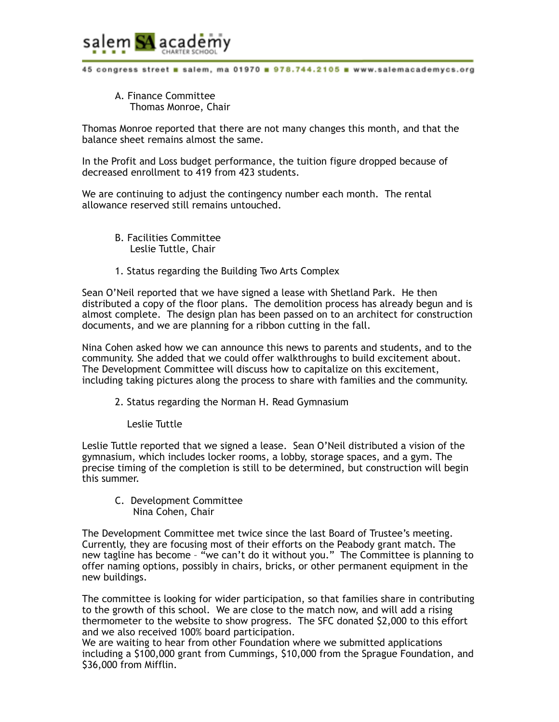

A. Finance Committee Thomas Monroe, Chair

Thomas Monroe reported that there are not many changes this month, and that the balance sheet remains almost the same.

In the Profit and Loss budget performance, the tuition figure dropped because of decreased enrollment to 419 from 423 students.

We are continuing to adjust the contingency number each month. The rental allowance reserved still remains untouched.

- B. Facilities Committee Leslie Tuttle, Chair
- 1. Status regarding the Building Two Arts Complex

Sean O'Neil reported that we have signed a lease with Shetland Park. He then distributed a copy of the floor plans. The demolition process has already begun and is almost complete. The design plan has been passed on to an architect for construction documents, and we are planning for a ribbon cutting in the fall.

Nina Cohen asked how we can announce this news to parents and students, and to the community. She added that we could offer walkthroughs to build excitement about. The Development Committee will discuss how to capitalize on this excitement, including taking pictures along the process to share with families and the community.

- 2. Status regarding the Norman H. Read Gymnasium
	- Leslie Tuttle

Leslie Tuttle reported that we signed a lease. Sean O'Neil distributed a vision of the gymnasium, which includes locker rooms, a lobby, storage spaces, and a gym. The precise timing of the completion is still to be determined, but construction will begin this summer.

C. Development Committee Nina Cohen, Chair

The Development Committee met twice since the last Board of Trustee's meeting. Currently, they are focusing most of their efforts on the Peabody grant match. The new tagline has become – "we can't do it without you." The Committee is planning to offer naming options, possibly in chairs, bricks, or other permanent equipment in the new buildings.

The committee is looking for wider participation, so that families share in contributing to the growth of this school. We are close to the match now, and will add a rising thermometer to the website to show progress. The SFC donated \$2,000 to this effort and we also received 100% board participation.

We are waiting to hear from other Foundation where we submitted applications including a \$100,000 grant from Cummings, \$10,000 from the Sprague Foundation, and \$36,000 from Mifflin.